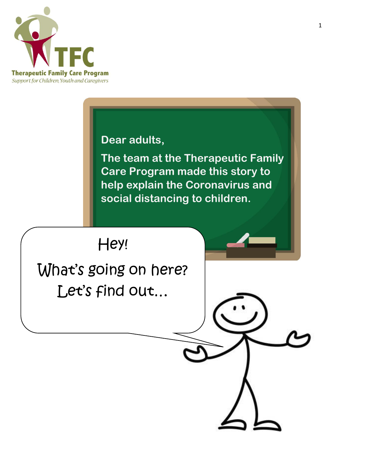

**Dear adults,** 

**The team at the Therapeutic Family Care Program made this story to help explain the Coronavirus and social distancing to children.** 

Hey!

What's going on here? Let's find out…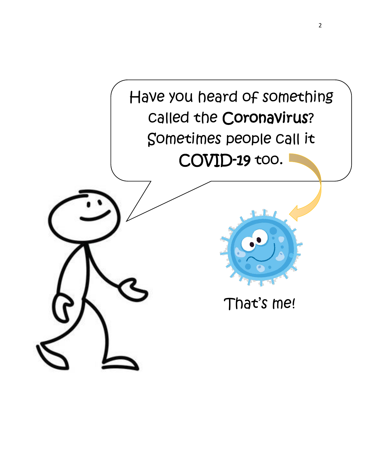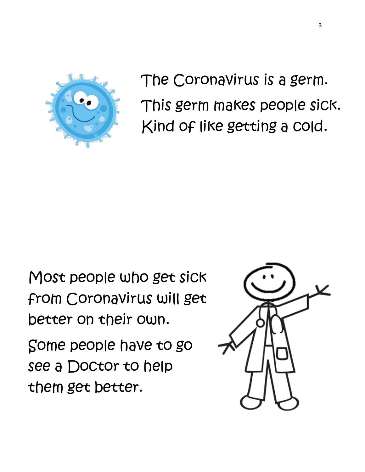

The Coronavirus is a germ. This germ makes people sick. Kind of like getting a cold.

Most people who get sick from Coronavirus will get better on their own.

Some people have to go see a Doctor to help them get better.

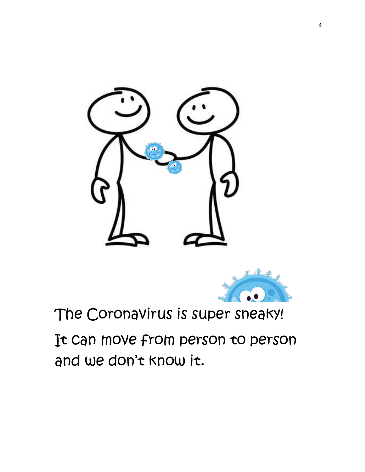



## The Coronavirus is super sneaky!

It can move from person to person and we don't know it.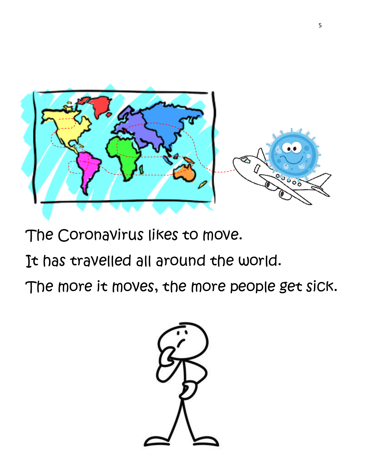

The Coronavirus likes to move.

It has travelled all around the world.

The more it moves, the more people get sick.

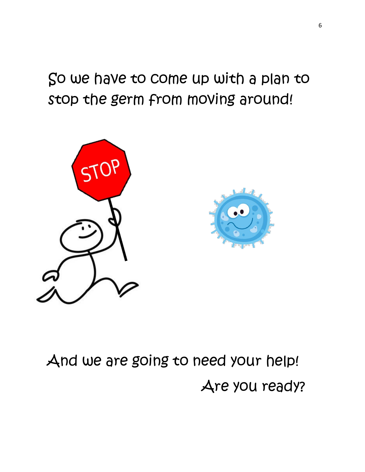So we have to come up with a plan to stop the germ from moving around!



## And we are going to need your help! Are you ready?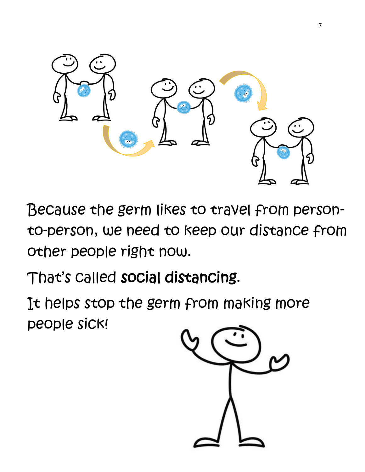

Because the germ likes to travel from personto-person, we need to keep our distance from other people right now.

That's called social distancing.

It helps stop the germ from making more people sick!

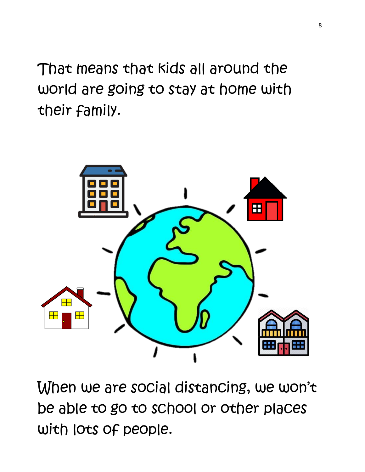That means that kids all around the world are going to stay at home with their family.



When we are social distancing, we won't be able to go to school or other places with lots of people.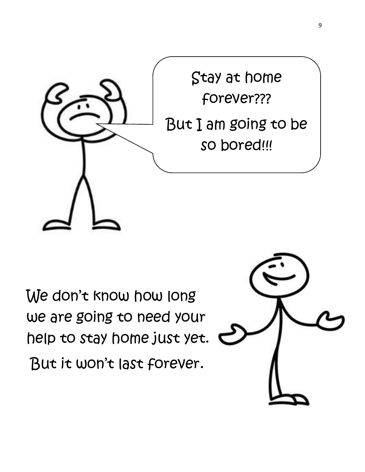

We don't know how long we are going to need your help to stay home just yet.

But it won't last forever.

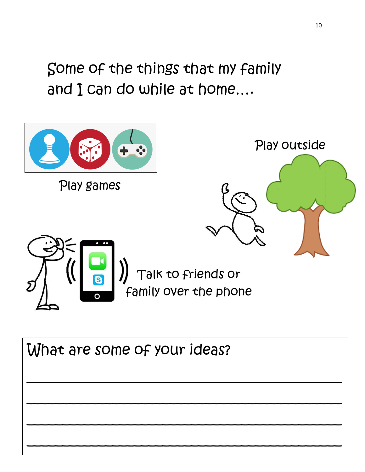Some of the things that my family and I can do while at home….



What are some of your ideas?  $\overline{\phantom{a}}$  $\overline{\phantom{a}}$ \_\_\_\_\_\_\_\_\_\_\_\_\_\_\_\_\_\_\_\_\_\_\_\_\_\_\_\_\_\_\_\_\_\_\_\_\_\_\_\_\_\_\_\_ \_\_\_\_\_\_\_\_\_\_\_\_\_\_\_\_\_\_\_\_\_\_\_\_\_\_\_\_\_\_\_\_\_\_\_\_\_\_\_\_\_\_\_\_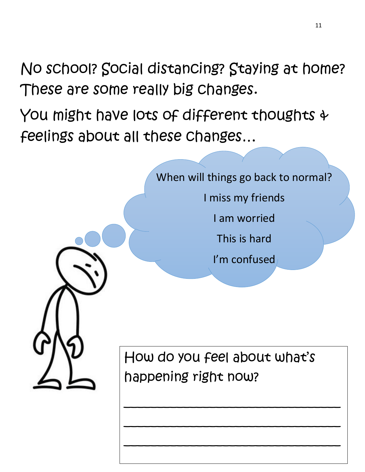No school? Social distancing? Staying at home? These are some really big changes.

You might have lots of different thoughts & feelings about all these changes…



 $\overline{\phantom{a}}$ 

\_\_\_\_\_\_\_\_\_\_\_\_\_\_\_\_\_\_\_\_\_\_\_\_\_\_\_\_\_\_\_\_\_